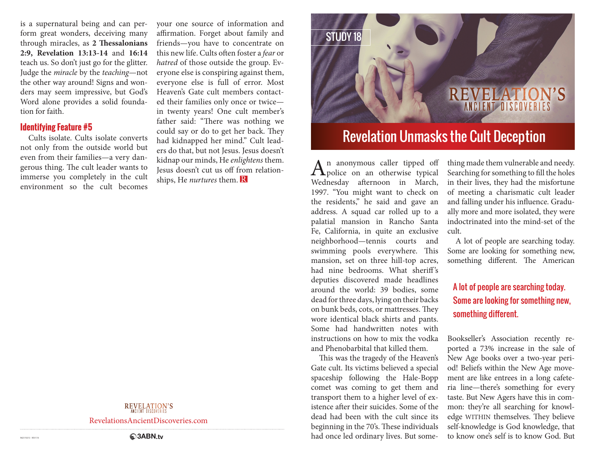is a supernatural being and can perform great wonders, deceiving many through miracles, as **2 Thessalonians 2:9, Revelation 13:13-14** and **16:14** teach us. So don't just go for the glitter. Judge the *miracle* by the *teaching*—not the other way around! Signs and wonders may seem impressive, but God's Word alone provides a solid foundation for faith.

# **Identifying Feature #5**

Cults isolate. Cults isolate converts not only from the outside world but even from their families—a very dangerous thing. The cult leader wants to immerse you completely in the cult environment so the cult becomes

your one source of information and affirmation. Forget about family and friends—you have to concentrate on this new life. Cults often foster a *fear* or *hatred* of those outside the group. Everyone else is conspiring against them, everyone else is full of error. Most Heaven's Gate cult members contacted their families only once or twice in twenty years! One cult member's father said: "There was nothing we could say or do to get her back. They had kidnapped her mind." Cult leaders do that, but not Jesus. Jesus doesn't kidnap our minds, He *enlightens* them. Jesus doesn't cut us off from relationships, He *nurtures* them.

# **REVELATION'S**

RevelationsAncientDiscoveries.com



 $\mathbf{A}$ <sup>n</sup> anonymous caller tipped off<br>When the contract of the time of the state of the state of the state of the state of the state of the state of the state of the state of the state of the state of the state of the s Wednesday afternoon in March, 1997. "You might want to check on the residents," he said and gave an address. A squad car rolled up to a palatial mansion in Rancho Santa Fe, California, in quite an exclusive neighborhood—tennis courts and swimming pools everywhere. This mansion, set on three hill-top acres, had nine bedrooms. What sheriff's deputies discovered made headlines around the world: 39 bodies, some dead for three days, lying on their backs on bunk beds, cots, or mattresses. They wore identical black shirts and pants. Some had handwritten notes with instructions on how to mix the vodka and Phenobarbital that killed them.

This was the tragedy of the Heaven's Gate cult. Its victims believed a special spaceship following the Hale-Bopp comet was coming to get them and transport them to a higher level of existence after their suicides. Some of the dead had been with the cult since its beginning in the 70's. These individuals had once led ordinary lives. But something made them vulnerable and needy. Searching for something to fill the holes in their lives, they had the misfortune of meeting a charismatic cult leader and falling under his influence. Gradually more and more isolated, they were indoctrinated into the mind-set of the cult.

A lot of people are searching today. Some are looking for something new, something different. The American

# A lot of people are searching today. Some are looking for something new, something different.

Bookseller's Association recently reported a 73% increase in the sale of New Age books over a two-year period! Beliefs within the New Age movement are like entrees in a long cafeteria line—there's something for every taste. But New Agers have this in common: they're all searching for knowledge WITHIN themselves. They believe self-knowledge is God knowledge, that to know one's self is to know God. But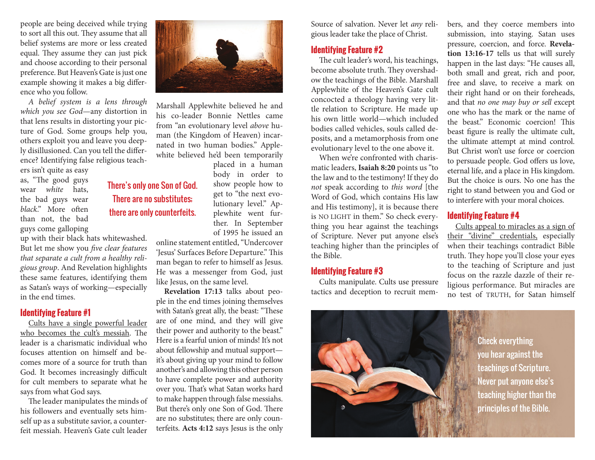people are being deceived while trying to sort all this out. They assume that all belief systems are more or less created equal. They assume they can just pick and choose according to their personal preference. But Heaven's Gate is just one example showing it makes a big difference who you follow.

*A belief system is a lens through which you see God*—any distortion in that lens results in distorting your picture of God. Some groups help you, others exploit you and leave you deeply disillusioned. Can you tell the difference? Identifying false religious teach-

ers isn't quite as easy as, "The good guys wear *white* hats, the bad guys wear *black*." More often than not, the bad guys come galloping

up with their black hats whitewashed. But let me show you *five clear features that separate a cult from a healthy religious group*. And Revelation highlights these same features, identifying them as Satan's ways of working—especially in the end times.

### **Identifying Feature #1**

Cults have a single powerful leader who becomes the cult's messiah. The leader is a charismatic individual who focuses attention on himself and becomes more of a source for truth than God. It becomes increasingly difficult for cult members to separate what he says from what God says.

The leader manipulates the minds of his followers and eventually sets himself up as a substitute savior, a counterfeit messiah. Heaven's Gate cult leader



Marshall Applewhite believed he and his co-leader Bonnie Nettles came from "an evolutionary level *above* human (the Kingdom of Heaven) incarnated in two human bodies." Applewhite believed he'd been temporarily

There's only one Son of God. There are no substitutes; there are only counterfeits.

placed in a human body in order to show people how to get to "the next evolutionary level." Applewhite went further. In September of 1995 he issued an

online statement entitled, "Undercover 'Jesus' Surfaces Before Departure." This man began to refer to himself as Jesus. He was a messenger from God, just like Jesus, on the same level.

**Revelation 17:13** talks about people in the end times joining themselves with Satan's great ally, the beast: "These are of one mind, and they will give their power and authority to the beast." Here is a fearful union of minds! It's not about fellowship and mutual support it's about giving up your mind to follow another's and allowing this other person to have complete power and authority over you. That's what Satan works hard to make happen through false messiahs. But there's only one Son of God. There are no substitutes; there are only counterfeits. **Acts 4:12** says Jesus is the only Source of salvation. Never let *any* religious leader take the place of Christ.

# **Identifying Feature #2**

The cult leader's word, his teachings, become absolute truth. They overshadow the teachings of the Bible. Marshall Applewhite of the Heaven's Gate cult concocted a theology having very little relation to Scripture. He made up his own little world—which included bodies called vehicles, souls called deposits, and a metamorphosis from one evolutionary level to the one above it.

When we're confronted with charismatic leaders, **Isaiah 8:20** points us "to the law and to the testimony! If they do *not* speak according to *this word* [the Word of God, which contains His law and His testimony], it is because there is NO LIGHT in them." So check everything you hear against the teachings of Scripture. Never put anyone else's teaching higher than the principles of the Bible.

### **Identifying Feature #3**

Cults manipulate. Cults use pressure tactics and deception to recruit members, and they coerce members into submission, into staying. Satan uses pressure, coercion, and force. **Revelation 13:16-17** tells us that will surely happen in the last days: "He causes all, both small and great, rich and poor, free and slave, to receive a mark on their right hand or on their foreheads, and that *no one may buy or sell* except one who has the mark or the name of the beast." Economic coercion! This beast figure is really the ultimate cult, the ultimate attempt at mind control. But Christ won't use force or coercion to persuade people. God offers us love, eternal life, and a place in His kingdom. But the choice is ours. No one has the right to stand between you and God or to interfere with your moral choices.

# **Identifying Feature #4**

Cults appeal to miracles as a sign of their "divine" credentials, especially when their teachings contradict Bible truth. They hope you'll close your eyes to the teaching of Scripture and just focus on the razzle dazzle of their religious performance. But miracles are no test of TRUTH, for Satan himself



Check everything you hear against the teachings of Scripture. Never put anyone else's teaching higher than the principles of the Bible.